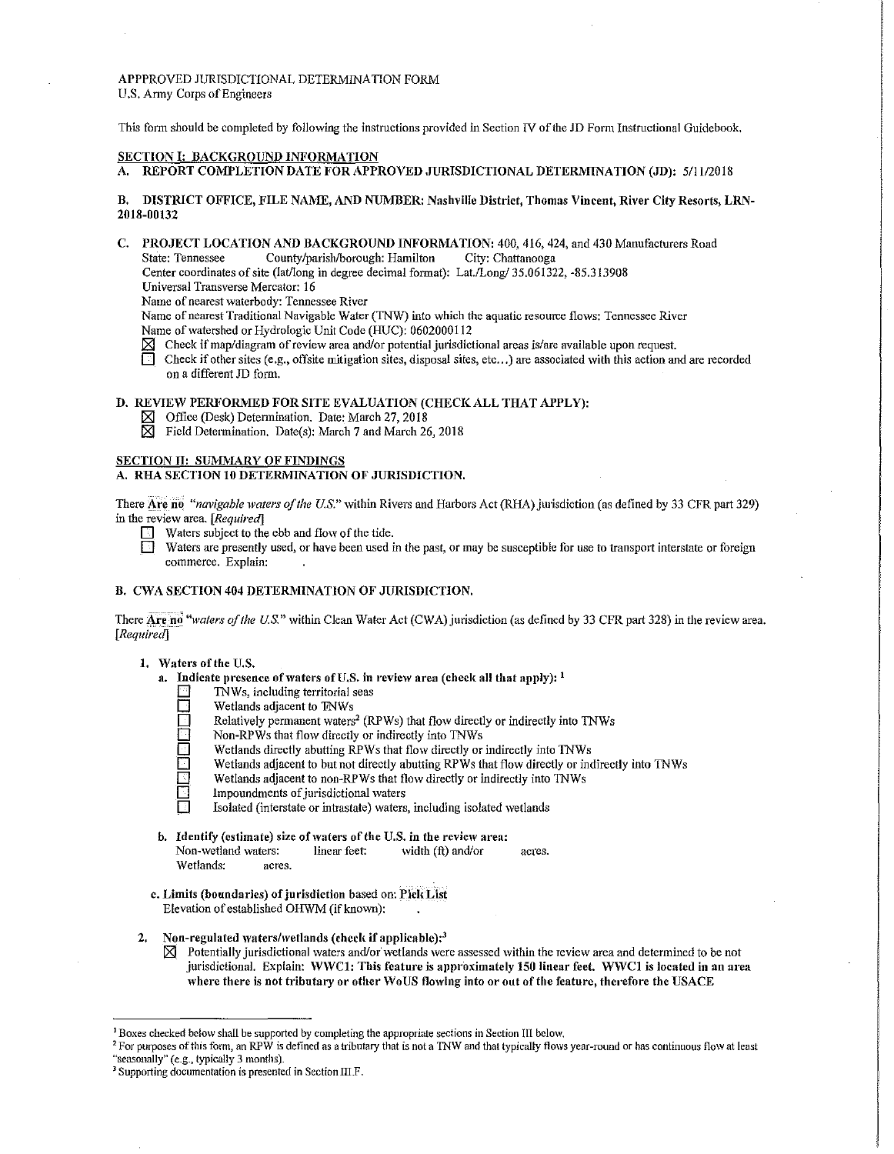APPPROVED JURISDICTIONAL DETERMINATION FORM U.S. Anny Corps of Engineers

This form should be completed by following the instructions provided in Section IV of the JD Form Instructional Guidebook,

#### SECTION I: BACKGROUND INFORMATION

A. REPORT COMPLETION DATE FOR APPROVED JURISDICTIONAL DETERMINATION (JD): 5/11/2018

#### B. DISTRICT OFFICE, FILE NAME, AND NUMBER: Nashville District, Thomas Vincent, River City Resorts, LRN-2018-00132

C. PROJECT LOCATION AND BACKGROUND INFORMATION: 400, 416, 424, and 430 Manufacturers Road State: Tennessee County/parish/borough: Hamilton City: Chattanooga

Center coordinates of site (lat/long in degree decimal format): Lat./Long/ 35.061322, -85.313908

Universal Transverse Mercator: 16

Name of nearest waterbody: Tennessee River

Name of nearest Traditional Navigable Water (TNW) into which the aquatic resource flows: Tennessee River Name of watershed or Hydrologic Unit Code (HUC): 0602000112

- $\boxtimes$  Check if map/diagram of review area and/or potential jurisdictional areas is/are available upon request.
- $\Box$  Check if other sites (e.g., off site mitigation sites, disposal sites, etc...) are associated with this action and are recorded on a different JD form.

### D. REVIEW PERFORMED FOR SITE EVALUATION (CHECK ALL THAT APPLY):

- $\boxtimes$  Office (Desk) Determination. Date: March 27, 2018<br> $\boxtimes$  Field Determination. Date(s): March 7 and March 2
- Field Determination. Date(s): March 7 and March 26, 2018

## SECTION II: SUMMARY OF FINDINGS

# A. RHA SECTION 10 DETERMINATION OF JURISDICTION.

There Are no<sup>th</sup> *inavigable waters of the U.S."* within Rivers and Harbors Act (RHA) jurisdiction (as defined by 33 CFR part 329) in the review area. *[Required]* 

- $\Box$  Waters subject to the ebb and flow of the tide.
- Waters are presently used, or have been used in the past, or may be susceptible for use to transport interstate or foreign commerce. Explain:

### B. CWA SECTION 404 DETERMINATION OF JURISDICTION.

There Are no "waters of the U.S." within Clean Water Act (CWA) jurisdiction (as defined by 33 CFR part 328) in the review area. *[Required]* 

- 1. Waters of the U.S.
	- a. Indicate presence of waters of U.S. in review area (check all that apply):  $<sup>1</sup>$ </sup>
		- TNWs, including territorial seas
		- $\Box$  Wetlands adjacent to TNWs<br> $\Box$  Relatively permanent waters
			- Relatively permanent waters<sup>2</sup> (RPWs) that flow directly or indirectly into TNWs
		- Non-RPWs that flow directly or indirectly into TNWs
		- $\Box$  Wetlands directly abutting RPWs that flow directly or indirectly into TNWs
			- Wetlands adjacent to but not directly abutting RPWs that flow directly or indirectly into TNWs
		- Wetlands adjacent to non-RPWs that flow directly or indirectly into TNWs<br>Impoundments of jurisdictional waters
		- $\Box$  Impoundments of jurisdictional waters<br> $\Box$  Isolated (interstate or intrastate) waters
			- Isolated (interstate or intrastate) waters, including isolated wetlands
	- b. Identify (estimate) size of waters of the U.S. in the review area: Non-wetland waters: linear feet: width (ft) and/or acres. Wetlands: acres.
	- c. Limits (boundaries) of jurisdiction based on: Pick List Elevation of established OHWM (if known):
- 2. Non-regulated waters/wetlands (check if applicable): $3$ 
	- $\boxtimes$  Potentially jurisdictional waters and/or wetlands were assessed within the review area and determined to be not jurisdictional. Explain: WWC1: This feature is approximately 150 linear feet. WWC1 is located in an area where there is not tributary or other WoUS flowing into or out of the feature, therefore the USACE

<sup>&</sup>lt;sup>1</sup> Boxes checked below shall be supported by completing the appropriate sections in Section III below.<br><sup>2</sup> For purposes of this form, an RPW is defined as a tributary that is not a TNW and that typically flows year-round "seasonally" (e.g., typically 3 months). 3 Supporting documentation is presented in Section III.F.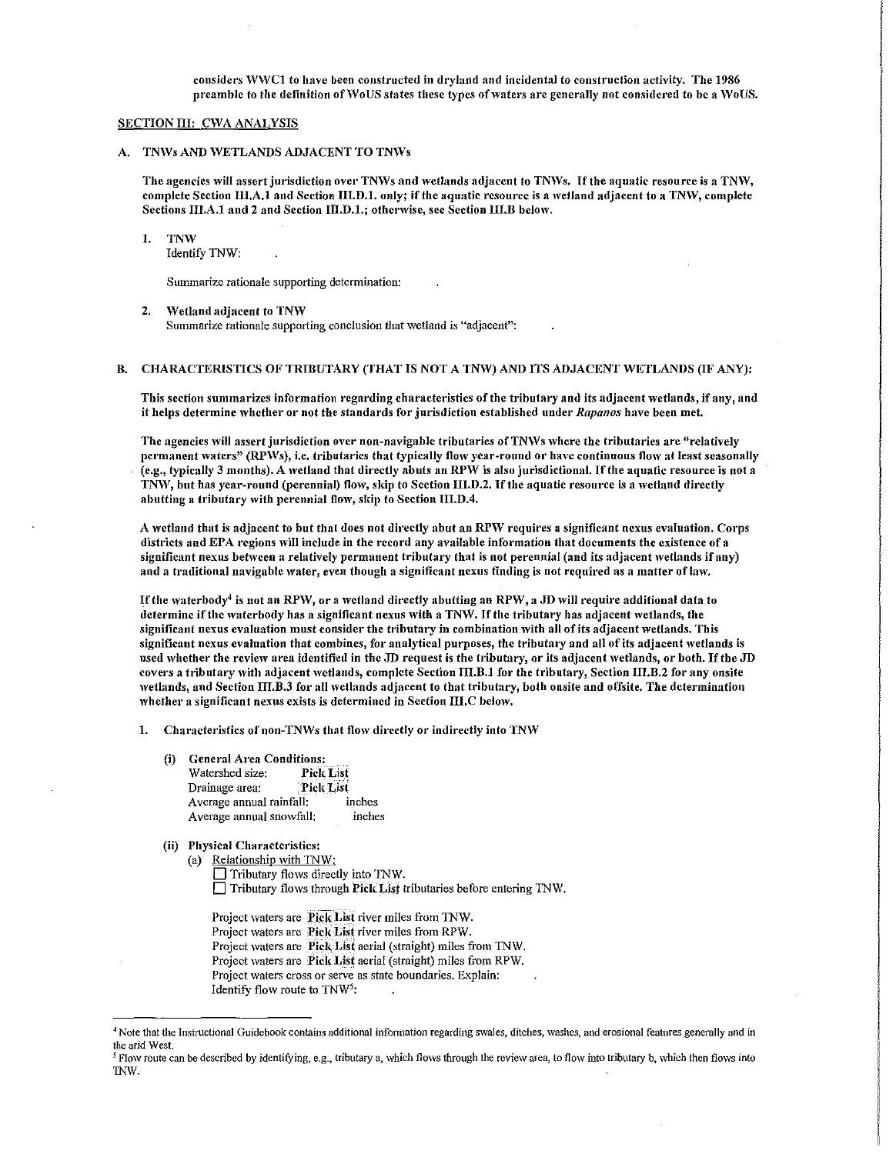considers WWC1 to have been constructed in dryland and incidental to construction activity. The 1986 preamble to the definition of WoUS states these types of waters are generally not considered to be a WoUS.

#### SECTION III: CWA ANALYSIS

A. TNWs AND WETLANDS ADJACENT TO TNWs

The agencies will assert jurisdiction over TNWs and wetlands adjacent to TNWs. If the aquatic resource is a TNW, complete Section III.A.1 and Section III.D.1. only; if the aquatic resource is a wetland adjacent to a TNW, complete Sections III.A.1 and 2 and Section III.D.1.; otherwise, see Section III.B below.

#### 1. TNW

Identify TNW:

Summarize rationale supporting determination:

2. Wetland adjacent to TNW

Summarize rationale supporting conclusion that wetland is "adjacent":

# B. CHARACTERISTICS OF TRIBUTARY (THAT IS NOT A TNW) AND ITS ADJACENT WETLANDS (IF ANY):

This section summarizes information regarding characteristics of the tributary and its adjacent wetlands, if any, and it helps determine \Vhcther or not the standards for jurisdiction established under *Rapanos* have been met.

The agencies will assert jurisdiction over non-navigable tributaries of TNWs where the tributaries are "relatively permanent waters" (RPWs), i.e. tributaries that typically flow year-round or have continuous flow at least seasonally  $(e.g., typically 3 months).$  A wetland that directly abuts an RPW is also jurisdictional. If the aquatic resource is not a TNW, but has year-round (perennial) flow, skip to Section III.D.2. If the aquatic resource is a wetland directly abutting a tributary with perennial flow, skip to Section III.D.4.

A wetland that is adjacent to but that does not directly abut an RPW requires a significant nexus evaluation. Corps districts and EPA regions will include in the record any available information that documents the existence of a significant nexus between a relatively permanent tributary that is not perennial (and its adjacent wetlands if any) and a traditional navigable water, even though a significant nexus finding is not required as a matter of law.

If the waterbody<sup>4</sup> is not an RPW, or a wetland directly abutting an RPW, a JD will require additional data to determine if the waterbody has a significant nexus with a TNW. If the tributary has adjacent wetlands, the significant nexus evaluation must consider the tributary in combination with all of its adjacent wetlands. This significant nexus evaluation that combines, for analytical purposes, the tributary and all of its adjacent wetlands is used whether the review area identified in the JD request is the tributary, or its adjacent wetlands, or both. If the JD covers a tributary with adjacent wetlands, complete Section III.B.1 for the tributary, Section III.B.2 for any onsite wetlands, and Section III.B.3 for all wetlands adjacent to that tributary, both onsite and offsite. The determination 1vhether a significant nexus exists is determined in Section III.C below.

- 1. Characteristics of non-TNWs that flow directly or indirectly into TNW
	- (i) General Area Conditions: Watershed size: Pick List Drainage area: Pick List Average annual rainfall: inches Average annual snowfall: inches
	- (ii) Physical Characteristics:
		- (a) Relationship with TNW:
			- $\Box$  Tributary flows directly into TNW. D Tributary flo\VS through PiCkLis\_t tributaries before entering 1NV/.

Project waters are Pick List river miles from TNW. Project waters are Pick List river miles from RPW. Project waters are Pick List aerial (straight) miles from TNW. Project waters are Pick List aerial (straight) miles from RPW. Project waters cross or serve as state boundaries. Explain: Identify flow route to  $TW^{5}$ :

<sup>4</sup> Note that the Instructional Guidebook contains additional infonnation regarding swales, ditches, washes, and erosional features generally and in the arid West.

<sup>&</sup>lt;sup>5</sup> Flow route can be described by identifying, e.g., tributary a, which flows through the review area, to flow into tributary b, which then flows into 1NW.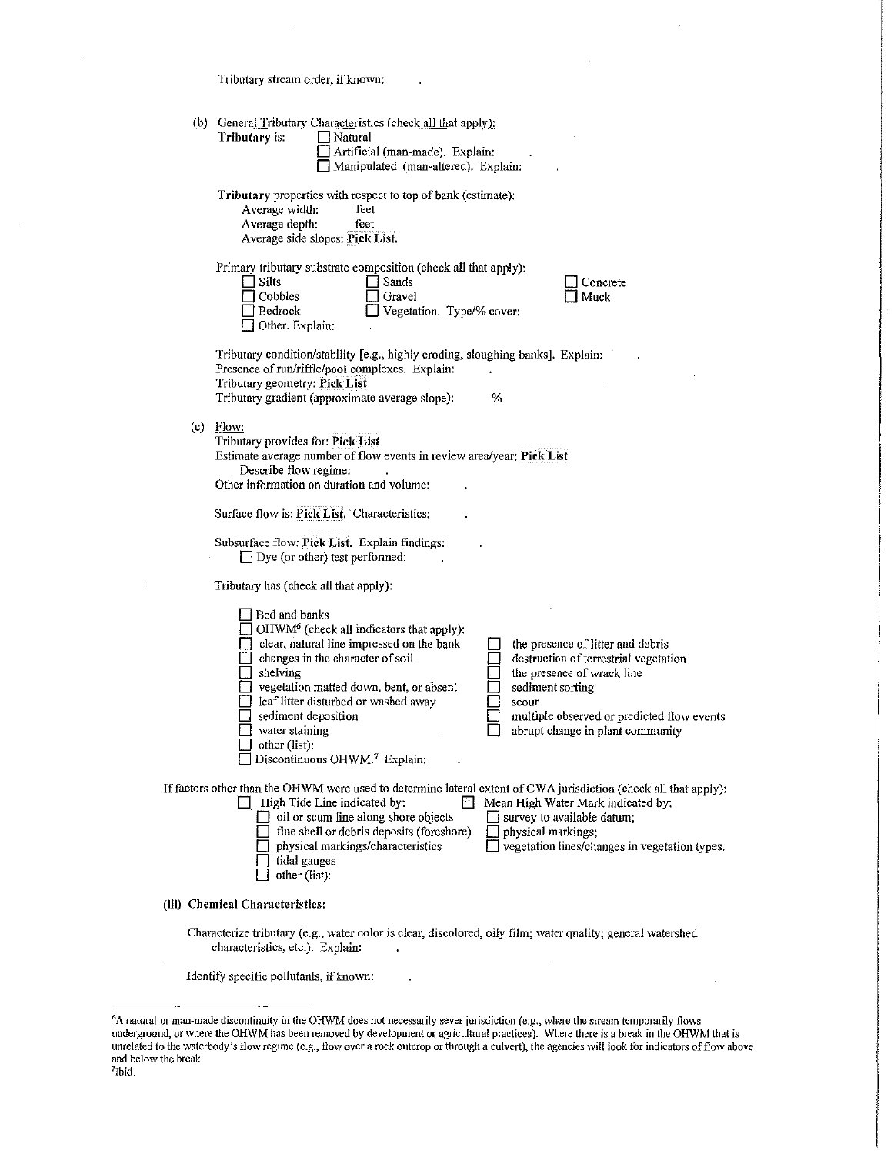Tributary stream order, if known:

 $\overline{a}$ 

l.

|                                                                                                                                                 | (b) General Tributary Characteristics (check all that apply):<br>Tributary is:<br>Natural<br>Artificial (man-made). Explain:<br>Manipulated (man-altered). Explain:                                                                                                                                                                                                                                                                                                                                                                                                           |  |  |  |
|-------------------------------------------------------------------------------------------------------------------------------------------------|-------------------------------------------------------------------------------------------------------------------------------------------------------------------------------------------------------------------------------------------------------------------------------------------------------------------------------------------------------------------------------------------------------------------------------------------------------------------------------------------------------------------------------------------------------------------------------|--|--|--|
|                                                                                                                                                 | Tributary properties with respect to top of bank (estimate).<br>Average width:<br>feet<br>Average depth:<br>feet<br>Average side slopes: Pick List.                                                                                                                                                                                                                                                                                                                                                                                                                           |  |  |  |
|                                                                                                                                                 | Primary tributary substrate composition (check all that apply):<br>Silts<br>Sands<br>Concrete<br>Cobbles<br>Gravel<br>Muck<br>Vegetation. Type/% cover:<br>Bedrock<br>$\Box$ Other. Explain:                                                                                                                                                                                                                                                                                                                                                                                  |  |  |  |
|                                                                                                                                                 | Tributary condition/stability [e.g., highly eroding, sloughing banks]. Explain:<br>Presence of run/riffle/pool complexes. Explain:<br>Tributary geometry: Pick List<br>Tributary gradient (approximate average slope):<br>%                                                                                                                                                                                                                                                                                                                                                   |  |  |  |
|                                                                                                                                                 | $(c)$ Flow:<br>Tributary provides for: Pick List<br>Estimate average number of flow events in review area/year: Pick List<br>Describe flow regime:<br>Other information on duration and volume:                                                                                                                                                                                                                                                                                                                                                                               |  |  |  |
|                                                                                                                                                 | Surface flow is: Pick List. Characteristics:                                                                                                                                                                                                                                                                                                                                                                                                                                                                                                                                  |  |  |  |
|                                                                                                                                                 | Subsurface flow: Pick List. Explain findings:<br>$\Box$ Dye (or other) test performed:                                                                                                                                                                                                                                                                                                                                                                                                                                                                                        |  |  |  |
|                                                                                                                                                 | Tributary has (check all that apply):                                                                                                                                                                                                                                                                                                                                                                                                                                                                                                                                         |  |  |  |
|                                                                                                                                                 | Bed and banks<br>OHWM <sup>6</sup> (check all indicators that apply):<br>clear, natural line impressed on the bank<br>the presence of litter and debris<br>changes in the character of soil<br>destruction of terrestrial vegetation<br>shelving<br>the presence of wrack line<br>vegetation matted down, bent, or absent<br>sediment sorting<br>leaf litter disturbed or washed away<br>scour<br>sediment deposition<br>multiple observed or predicted flow events<br>water staining<br>abrupt change in plant community<br>other (list):<br>□ Discontinuous OHWM.7 Explain: |  |  |  |
|                                                                                                                                                 | If factors other than the OHWM were used to determine lateral extent of CWA jurisdiction (check all that apply):<br>$\Box$ High Tide Line indicated by:<br>Mean High Water Mark indicated by:<br>oil or scum line along shore objects<br>$\Box$ survey to available datum;<br>fine shell or debris deposits (foreshore)<br>physical markings;<br>vegetation lines/changes in vegetation types.<br>physical markings/characteristics<br>tidal gauges<br>other (list):                                                                                                          |  |  |  |
| (iii) Chemical Characteristics:                                                                                                                 |                                                                                                                                                                                                                                                                                                                                                                                                                                                                                                                                                                               |  |  |  |
| Characterize tributary (e.g., water color is clear, discolored, oily film; water quality; general watershed<br>characteristics, etc.). Explain: |                                                                                                                                                                                                                                                                                                                                                                                                                                                                                                                                                                               |  |  |  |
| Identify specific pollutants, if known:                                                                                                         |                                                                                                                                                                                                                                                                                                                                                                                                                                                                                                                                                                               |  |  |  |
|                                                                                                                                                 |                                                                                                                                                                                                                                                                                                                                                                                                                                                                                                                                                                               |  |  |  |

 $\hat{\mathcal{A}}$ 

 $\bar{z}$ 

 $\ddot{\phantom{a}}$ 

<sup>&</sup>lt;sup>6</sup>A natural or man-made discontinuity in the OHWM does not necessarily sever jurisdiction (e.g., where the stream temporarily flows underground, or where the OHWM has been removed by development or agricultural practices). Where there is a break in the OHWM that is unrelated to the waterbody's flow regime (e.g., flow over a rock outcrop or through a culvert), the agencies will look for indicators of flow above and below the break.<br><sup>7</sup>Ibid.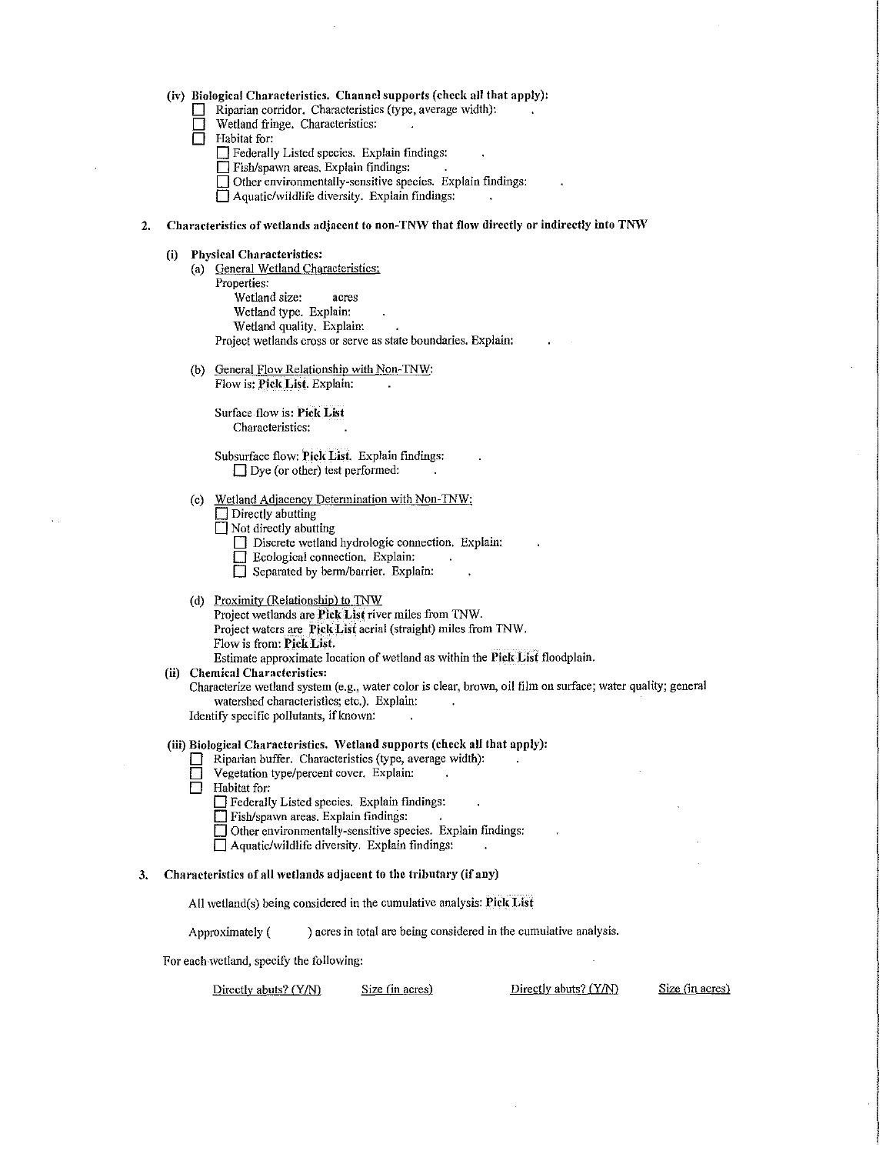|  | (iv) Biological Characteristics. Channel supports (check all that apply): |  |  |
|--|---------------------------------------------------------------------------|--|--|
|--|---------------------------------------------------------------------------|--|--|

Riparian corridor. Characteristics (type, average width):

| $\Box$ | Wetland fringe. Characteristics: |  |
|--------|----------------------------------|--|

- $\overline{\Box}$  Habitat for:
	- **D** Federally Listed species. Explain findings:
	- **D** Fish/spawn areas. Explain findings:
	- **D** Other environmentally-sensitive species. Explain findings:

□ Aquatic/wildlife diversity. Explain findings:

### 2. Characteristics of wetlands adjacent to non-TNW that flow directly or indirectly into TNW

- **(i) Physical Characteristics:** 
	- (a) General Wetland Characteristics: Properties: Wetland size: acres Wetland type. Explain: Wetland quality. Explain: Project wetlands cross or serve as state boundaries. Explain:
	- (b) General Flow Relationship with Non-TNW: Flow is: **Pjck \_Lisi.** Explain:

Surface flow is: Pick List Characteristics:

Subsurface flow: Pick List. Explain findings: □ Dye (or other) test performed:

(c) Wetland Adjacency Determination with Non-TNW;

**Directly** abutting

- **D** Not directly abutting
	- D Discrete wetland hydrologic connection. Explain:
	- **D** Ecological connection. Explain:
	- **D** Separated by berm/barrier. Explain:
- (d) Proximity (Relationship) to TNW Project wetlands are Pick List river miles from TNW. Project waters are **Pick Lisi** aerial (straight) miles from TNW. Flow is from: Pick List. Estimate approximate location of wetland as within the **Pick LiSt** floodplain.
- **(ii) Chemical Characteristics:**

Characterize wetland system (e.g., water color is clear, brown, oil film on surface; water quality; general watershed characteristics; etc.). Explain:

Identify specific pollutants, if known:

### **(iii) Biological Characteristics. 'Vetland supports (check all that apply):**

- **0** Riparian buffer. Characteristics (type, average \vidth):
- Vegetation type/percent cover. Explain:
- $\Box$  Habitat for:

*D* Federally Listed species. Explain findings:

- **D** Fish/spawn areas. Explain findings:
- **D** Other environmentally-sensitive species. Explain findings:
- **0** Aquatic/\vildlife diversity. Explain findings:

## **3. Characteristics of all wetlands adjacent to the tributary (if any)**

All \vetland(s) being considered in the cumulative analysis: **Pick List** 

Approximately () acres in total are being considered in the cumulative analysis.

For each wetland, specify the following:

Directly abuts? (Y/N) Size (in acres) Directly abuts? (Y/N) Size (in acres)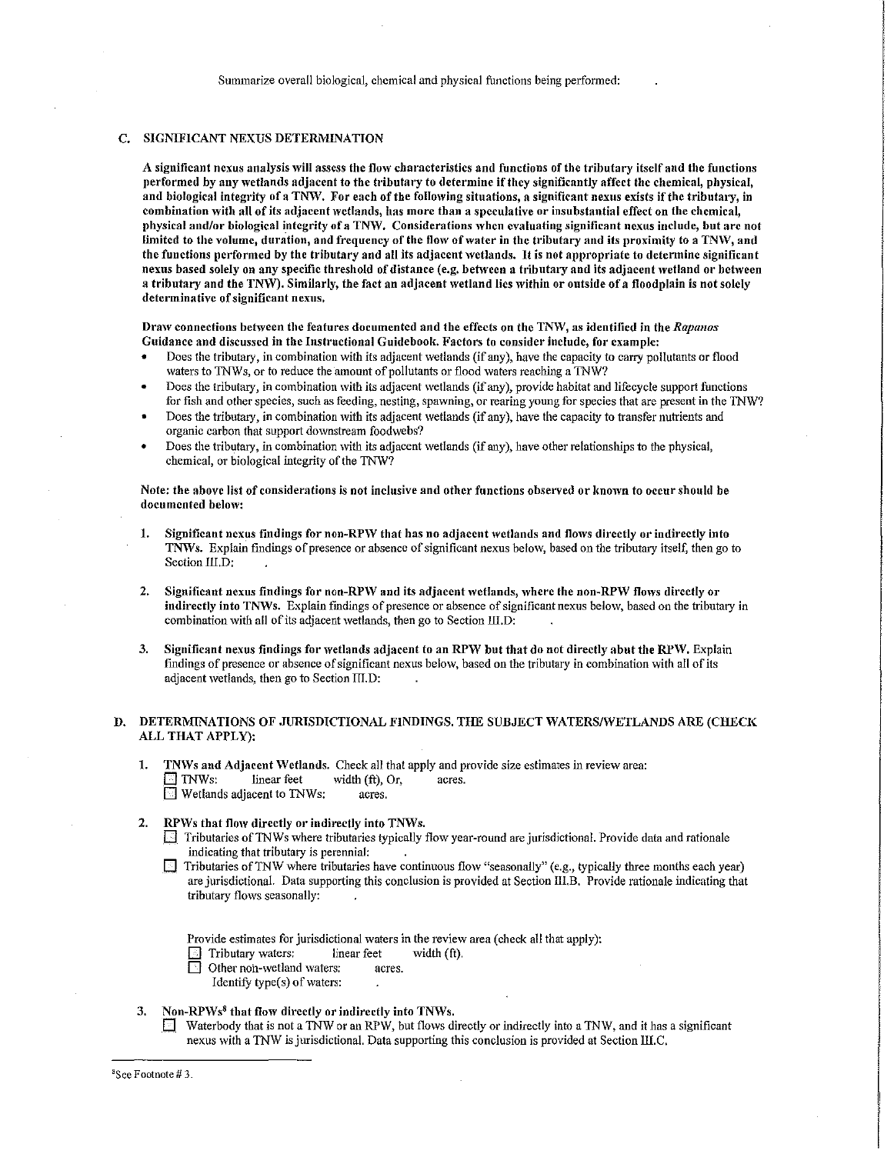# C. SIGNIFICANT NEXUS DETERNIINATION

A significant nexus analysis will assess the flow characteristics and functions of the tributary itself and the functions performed by any wetlands adjacent to the tributary to determine if they significantly affect the chemical, physical, and biological integrity of a TNW. For each of the following situations, a significant nexus exists if the tributary, in combination with all of its adjacent wetlands, has more than a speculative or insubstantial effect on the chemical, physical and/or biological integrity of a TNW. Considerations when evaluating significant nexus include, but arc not limited to the volume, duration, and frequency of the flow of water in the tributary and its proximity to a TNW, and the functions performed by the tributary and all its adjacent wetlands. It is not appropriate to determine significant nexus based solely on any specific threshold of distance (e.g. between a tributary and its adjacent wetland or between a tributary and the TNW). Similarly, the fact an adjacent wetland lies within or outside of a floodplain is not solely determinative of significant nexus.

Dralv connections between the features documented and the effects on the TMV, as identified in the *Rapanos*  Guidance and discussed in the Instructional Guidebook. Factors to consider include, for example:

- Does the tributary, in combination with its adjacent wetlands (if any), have the capacity to carry pollutants or flood waters to TNWs, or to reduce the amount of pollutants or flood waters reaching a TNW?
- Does the tributary, in combination with its adjacent wetlands (if any), provide habitat and lifecycle support functions for fish and other species, such as feeding, nesting, spawning, or rearing young for species that are present in the 1NW'?
- Does the tributary, in combination with its adjacent wetlands (if any), have the capacity to transfer nutrients and organic carbon that support downstream foodwebs?
- Does the tributary, in combination \Vith its adjacent \Vetlands (if any), have other relationships to the physical, chemical, or biological integrity of the TNW?

Note; the above list of considerations is not inclusive and other functions observed or known to occur should be documented below:

- 1. Significant nexus findings for non-RPW that has no adjacent wetlands and flows directly or indirectly into TNWs. Explain findings of presence or absence of significant nexus below, based on the tributary itself, then go to Section III<sub>,D;</sub>
- 2. Significant nexus findings for non-RPW and its adjacent wetlands, where the non-RPW flows directly or indirectly into TNWs. Explain findings of presence or absence of significant nexus below, based on the tributary in combination with all of its adjacent wetlands, then go to Section III.D:
- 3. Significant nexus findings for wetlands adjacent to an RPW but that do not directly abut the RPW. Explain findings of presence or absence of significant nexus below, based on the tributary in combination with all of its adjacent wetlands, then go to Section  $III.D$ :

### D. DETERMINATIONS OF JURISDICTIONAL FINDINGS. THE SUBJECT WATERS/WETLANDS ARE (CHECK ALL THAT APPLY):

- 1. TNWs and Adjacent Wetlands. Check all that apply and provide size estimates in review area:<br> $\Box$  TNWs: linear feet width (ft), Or, acres.  $\Box$  TNWs: linear feet width (ft), Or, acres.<br> $\Box$  Wetlands adjacent to TNWs: acres.  $\Box$  Wetlands adjacent to TNWs:
- RPWs that flow directly or indirectly into TNWs.
	- $\Box$  Tributaries of TNWs where tributaries typically flow year-round are jurisdictional. Provide data and rationale indicating that tributary is perennial:
	- $\Box$  Tributaries of TNW where tributaries have continuous flow "seasonally" (e.g., typically three months each year) are jurisdictional. Data supporting this conclusion is provided at Section III.B. Provide rationale indicating that tributary flows seasonally:

Provide estimates for jurisdictional waters in the review area (check all that apply):

- Tributary waters: linear feet width (ft).
- Other non-wetland waters: acres.
	- Identify type(s) of waters:

### 3. Non-RPWs $<sup>8</sup>$  that flow directly or indirectly into TNWs.</sup>

Waterbody that is not a TNW or an RPW, but flows directly or indirectly into a TNW, and it has a significant nexus with a TNW is jurisdictional. Data supporting this conclusion is provided at Section III.C.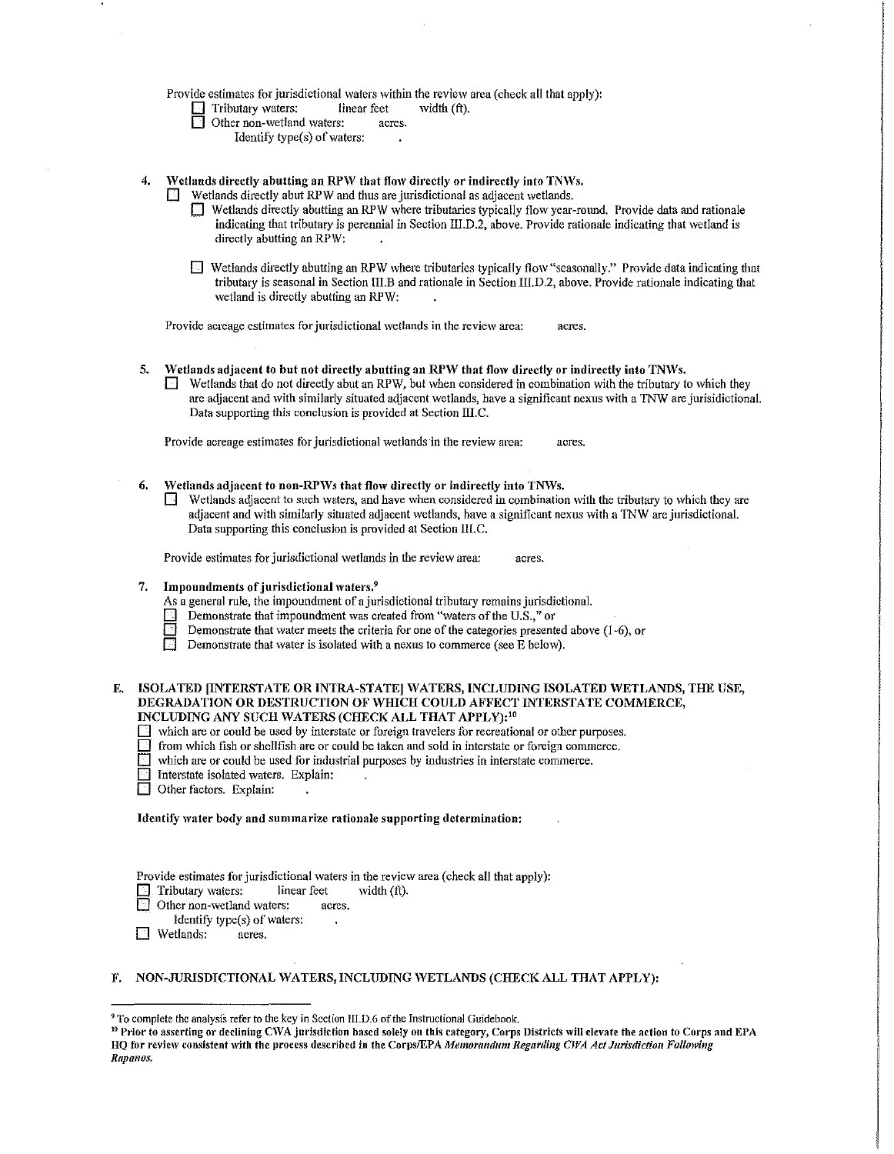### Provide estimates for jurisdictional waters within the review area (check all that apply):

- $\Box$  Tributary waters: linear feet width (ft).<br> $\Box$  Other non-wetland waters: acres.
	- Other non-wetland waters:
		- Identify type(s) of waters:
- 4. Wetlands directly abutting an RPW that flow directly or indirectly into TNWs.

 $\Box$  Wetlands directly abut RPW and thus are jurisdictional as adjacent wetlands.

- D Wetlands directly abutting an RPW where tributaries typically flow year-round. Provide data and rationale indicating that tributary is perennial in Section III.D.2, above. Provide rationale indicating that wetland is directly abutting an RPW:
- D Wetlands directly abutting an RPW where tributaries typically flow "seasonally." Provide data indicating that tributary is seasonal in Section III.B and rationale in Section Ill.D.2, above. Provide rationale indicating that wetland is directly abutting an RPW:

Provide acreage estimates for jurisdictional wetlands in the review area: acres.

- 5. Wetlands adjacent to but not directly abutting an RPW that flow directly or indirectly into TNWs.
	- $\Box$  Wetlands that do not directly abut an RPW, but when considered in combination with the tributary to which they are adjacent and with similarly situated adjacent wetlands, have a significant nexus with a TNW are jurisidictional. Data supporting this conclusion is provided at Section IILC.

Provide acreage estimates for jurisdictional wetlands in the review area: acres.

- 6. Wetlands adjacent to non-RPWs that flow directly or indirectly into TNWs.
	- Wetlands adjacent to such waters, and have when considered in combination with the tributary to which they are adjacent and with similarly situated adjacent wetlands, have a significant nexus with a TNW are jurisdictional. Data supporting this conclusion is provided at Section III.C.

Provide estimates for jurisdictional wetlands in the review area: acres.

- 7. Impoundments of jurisdictional waters.<sup>9</sup>
	- As a general rule, the impoundment of a jurisdictional tributary remains jurisdictional.
	- **1 Demonstrate that impoundment was created from "waters of the U.S.," or Demonstrate that water meets the criteria for one of the categories presented in the U.S.," or**
	- Demonstrate that water meets the criteria for one of the categories presented above (1-6), or
	- $\Box$  Demonstrate that water is isolated with a nexus to commerce (see E below).

E. ISOLATED [INTERSTATE OR INTRA-STATE] WATERS, INCLUDING ISOLATED WETLANDS, THE USE, DEGRADATION OR DESTRUCTION OF WHICH COULD AFFECT INTERSTATE COMMERCE, INCLUDING ANY SUCH WATERS (CHECK ALL THAT APPLY): <sup>10</sup>

- $\Box$  which are or could be used by interstate or foreign travelers for recreational or other purposes.<br> $\Box$  from which fish or shellfish are or could be taken and sold in interstate or foreign commerce.
- 
- $\Box$  from which fish or shellfish are or could be taken and sold in interstate or foreign commerce.<br> $\Box$  which are or could be used for industrial nurroses by industries in interstate commerce. which are or could be used for industrial purposes by industries in interstate commerce.
- **D** Interstate isolated waters. Explain:
- Other factors. Explain:

Identify water body and summarize rationale supporting determination:

Provide estimates for jurisdictional waters in the review area (check all that apply):

- Tributary waters: linear feet width (ft).
- Other non-wetland waters: acres.
- Identify type(s) of waters:
- **D** Wetlands: acres.

### F. NON-JURISDICTIONAL WATERS, INCLUDING WETLANDS (CHECK ALL THAT APPLY):

<sup>&</sup>lt;sup>9</sup> To complete the analysis refer to the key in Section III.D.6 of the Instructional Guidebook.

<sup>&</sup>lt;sup>19</sup> Prior to asserting or declining CWA jurisdiction based solely on this category, Corps Districts will elevate the action to Corps and EPA HQ for review consistent with the process described in the Corps/EPA Memorandum Regarding CWA Act Jurisdiction Following Rapanos.